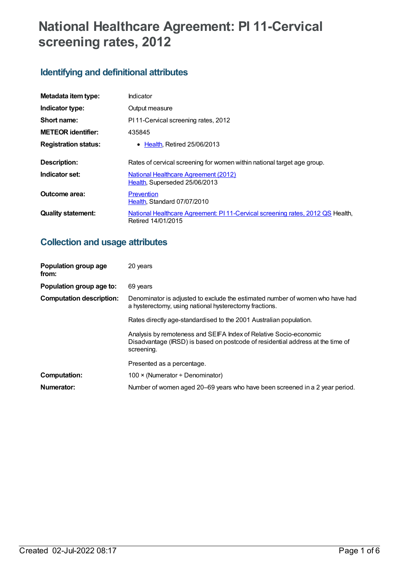# **National Healthcare Agreement: PI 11-Cervical screening rates, 2012**

## **Identifying and definitional attributes**

| Metadata item type:         | Indicator                                                                                            |  |
|-----------------------------|------------------------------------------------------------------------------------------------------|--|
| Indicator type:             | Output measure                                                                                       |  |
| Short name:                 | PI 11-Cervical screening rates, 2012                                                                 |  |
| <b>METEOR</b> identifier:   | 435845                                                                                               |  |
| <b>Registration status:</b> | • Health, Retired 25/06/2013                                                                         |  |
| Description:                | Rates of cervical screening for women within national target age group.                              |  |
| Indicator set:              | <b>National Healthcare Agreement (2012)</b><br>Health, Superseded 25/06/2013                         |  |
| Outcome area:               | Prevention<br>Health, Standard 07/07/2010                                                            |  |
| <b>Quality statement:</b>   | National Healthcare Agreement: PI 11-Cervical screening rates, 2012 QS Health,<br>Retired 14/01/2015 |  |

## **Collection and usage attributes**

| Population group age<br>from:   | 20 years                                                                                                                                                          |
|---------------------------------|-------------------------------------------------------------------------------------------------------------------------------------------------------------------|
| Population group age to:        | 69 years                                                                                                                                                          |
| <b>Computation description:</b> | Denominator is adjusted to exclude the estimated number of women who have had<br>a hysterectomy, using national hysterectomy fractions.                           |
|                                 | Rates directly age-standardised to the 2001 Australian population.                                                                                                |
|                                 | Analysis by remoteness and SEIFA Index of Relative Socio-economic<br>Disadvantage (IRSD) is based on postcode of residential address at the time of<br>screening. |
|                                 | Presented as a percentage.                                                                                                                                        |
| <b>Computation:</b>             | $100 \times (Numerator + Denominator)$                                                                                                                            |
| Numerator:                      | Number of women aged 20–69 years who have been screened in a 2 year period.                                                                                       |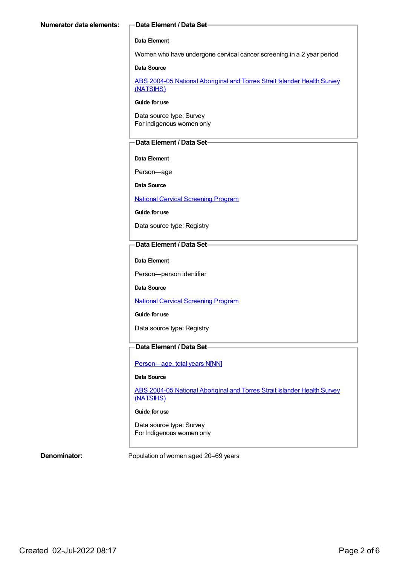#### **Data Element**

Women who have undergone cervical cancer screening in a 2 year period

#### **Data Source**

ABS 2004-05 National [Aboriginal](https://meteor.aihw.gov.au/content/394146) and Torres Strait Islander Health Survey (NATSIHS)

#### **Guide for use**

Data source type: Survey For Indigenous women only

#### **Data Element / Data Set**

#### **Data Element**

Person—age

**Data Source**

National Cervical [Screening](https://meteor.aihw.gov.au/content/394276) Program

**Guide for use**

Data source type: Registry

#### **Data Element / Data Set**

**Data Element**

Person—person identifier

**Data Source**

National Cervical [Screening](https://meteor.aihw.gov.au/content/394276) Program

**Guide for use**

Data source type: Registry

### **Data Element / Data Set**

[Person—age,](https://meteor.aihw.gov.au/content/303794) total years N[NN]

#### **Data Source**

ABS 2004-05 National [Aboriginal](https://meteor.aihw.gov.au/content/394146) and Torres Strait Islander Health Survey (NATSIHS)

#### **Guide for use**

Data source type: Survey For Indigenous women only

**Denominator:** Population of women aged 20–69 years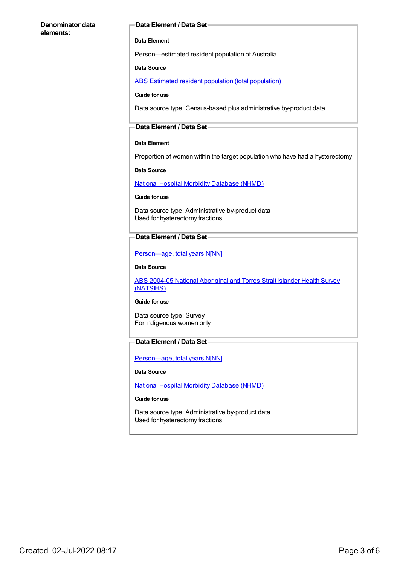#### **Denominator data elements:**

#### **Data Element / Data Set**

#### **Data Element**

Person—estimated resident population of Australia

#### **Data Source**

ABS Estimated resident population (total [population\)](https://meteor.aihw.gov.au/content/393625)

#### **Guide for use**

Data source type: Census-based plus administrative by-product data

#### **Data Element / Data Set**

#### **Data Element**

Proportion of women within the target population who have had a hysterectomy

#### **Data Source**

National Hospital Morbidity [Database](https://meteor.aihw.gov.au/content/394352) (NHMD)

#### **Guide for use**

Data source type: Administrative by-product data Used for hysterectomy fractions

#### **Data Element / Data Set**

[Person—age,](https://meteor.aihw.gov.au/content/303794) total years N[NN]

#### **Data Source**

ABS 2004-05 National [Aboriginal](https://meteor.aihw.gov.au/content/394146) and Torres Strait Islander Health Survey (NATSIHS)

#### **Guide for use**

Data source type: Survey For Indigenous women only

### **Data Element / Data Set**

Person-age, total years N[NN]

#### **Data Source**

National Hospital Morbidity [Database](https://meteor.aihw.gov.au/content/394352) (NHMD)

#### **Guide for use**

Data source type: Administrative by-product data Used for hysterectomy fractions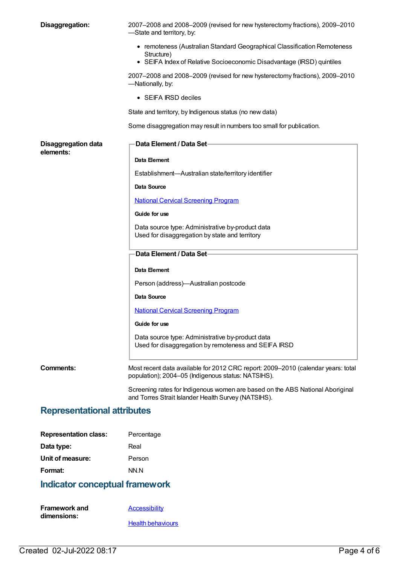| Disaggregation:                         | 2007-2008 and 2008-2009 (revised for new hysterectomy fractions), 2009-2010<br>-State and territory, by:                               |
|-----------------------------------------|----------------------------------------------------------------------------------------------------------------------------------------|
|                                         | • remoteness (Australian Standard Geographical Classification Remoteness<br>Structure)                                                 |
|                                         | • SEIFA Index of Relative Socioeconomic Disadvantage (IRSD) quintiles                                                                  |
|                                         | 2007-2008 and 2008-2009 (revised for new hysterectomy fractions), 2009-2010<br>—Nationally, by:                                        |
|                                         | $\bullet$ SEIFA IRSD deciles                                                                                                           |
|                                         | State and territory, by Indigenous status (no new data)                                                                                |
|                                         | Some disaggregation may result in numbers too small for publication.                                                                   |
| <b>Disaggregation data</b><br>elements: | <b>Data Element / Data Set-</b>                                                                                                        |
|                                         | Data Element                                                                                                                           |
|                                         | Establishment-Australian state/territory identifier                                                                                    |
|                                         | Data Source                                                                                                                            |
|                                         | <b>National Cervical Screening Program</b>                                                                                             |
|                                         | Guide for use                                                                                                                          |
|                                         | Data source type: Administrative by-product data<br>Used for disaggregation by state and territory                                     |
|                                         | Data Element / Data Set-                                                                                                               |
|                                         | Data Element                                                                                                                           |
|                                         | Person (address)-Australian postcode                                                                                                   |
|                                         | Data Source                                                                                                                            |
|                                         | <b>National Cervical Screening Program</b>                                                                                             |
|                                         | Guide for use                                                                                                                          |
|                                         | Data source type: Administrative by-product data<br>Used for disaggregation by remoteness and SEIFA IRSD                               |
| Comments:                               | Most recent data available for 2012 CRC report: 2009-2010 (calendar years: total<br>population); 2004-05 (Indigenous status: NATSIHS). |
|                                         | Screening rates for Indigenous women are based on the ABS National Aboriginal<br>and Torres Strait Islander Health Survey (NATSIHS).   |

## **Representational attributes**

| <b>Representation class:</b> | Percentage |
|------------------------------|------------|
| Data type:                   | Real       |
| Unit of measure:             | Person     |
| Format:                      | NN.N       |

## **Indicator conceptual framework**

| <b>Framework and</b> | <b>Accessibility</b>     |
|----------------------|--------------------------|
| dimensions:          |                          |
|                      | <b>Health behaviours</b> |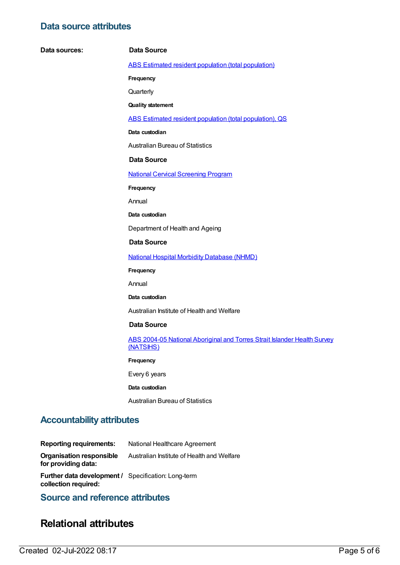## **Data source attributes**

 $Data$  **sources:** 

|        | Data Source                                                                           |
|--------|---------------------------------------------------------------------------------------|
|        | ABS Estimated resident population (total population)                                  |
|        | Frequency                                                                             |
|        | Quarterly                                                                             |
|        | <b>Quality statement</b>                                                              |
|        | ABS Estimated resident population (total population), QS                              |
|        | Data custodian                                                                        |
|        | <b>Australian Bureau of Statistics</b>                                                |
|        | Data Source                                                                           |
|        | <b>National Cervical Screening Program</b>                                            |
|        | Frequency                                                                             |
| Annual |                                                                                       |
|        | Data custodian                                                                        |
|        | Department of Health and Ageing                                                       |
|        | <b>Data Source</b>                                                                    |
|        | <b>National Hospital Morbidity Database (NHMD)</b>                                    |
|        | Frequency                                                                             |
| Annual |                                                                                       |
|        | Data custodian                                                                        |
|        | Australian Institute of Health and Welfare                                            |
|        | <b>Data Source</b>                                                                    |
|        | ABS 2004-05 National Aboriginal and Torres Strait Islander Health Survey<br>(NATSIHS) |
|        | Frequency                                                                             |
|        | Every 6 years                                                                         |
|        | Data custodian                                                                        |
|        | <b>Australian Bureau of Statistics</b>                                                |

## **Accountability attributes**

| <b>Reporting requirements:</b>                                                     | National Healthcare Agreement              |
|------------------------------------------------------------------------------------|--------------------------------------------|
| Organisation responsible<br>for providing data:                                    | Australian Institute of Health and Welfare |
| <b>Further data development / Specification: Long-term</b><br>collection required: |                                            |

## **Source and reference attributes**

## **Relational attributes**